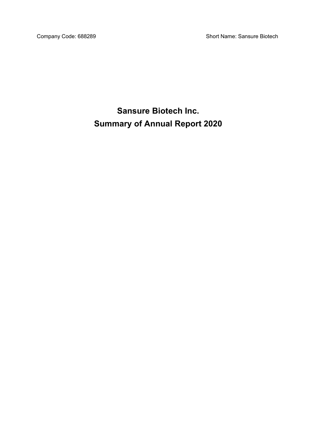Company Code: 688289 Short Name: Sansure Biotech

**Sansure Biotech Inc. Summary of Annual Report 2020**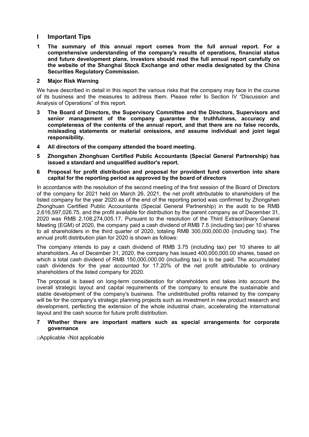# **I Important Tips**

**1 The summary of this annual report comes from the full annual report. For a comprehensive understanding of the company's results of operations, financial status and future development plans, investors should read the full annual report carefully on the website of the Shanghai Stock Exchange and other media designated by the China Securities Regulatory Commission.**

## **2 Major Risk Warning**

We have described in detail in this report the various risks that the company may face in the course of its business and the measures to address them. Please refer to Section IV "Discussion and Analysis of Operations" of this report.

- **3 The Board of Directors, the Supervisory Committee and the Directors, Supervisors and senior management of the company guarantee the truthfulness, accuracy and completeness of the contents of the annual report, and that there are no false records, misleading statements or material omissions, and assume individual and joint legal responsibility.**
- **4 All directors of the company attended the board meeting.**
- **5 Zhongshen Zhonghuan Certified Public Accountants (Special General Partnership) has issued a standard and unqualified auditor's report.**
- **6 Proposal for profit distribution and proposal for provident fund convertion into share capital for the reporting period as approved by the board of directors**

In accordance with the resolution of the second meeting of the first session of the Board of Directors of the company for 2021 held on March 26, 2021, the net profit attributable to shareholders of the listed company for the year 2020 as of the end of the reporting period was confirmed by Zhongshen Zhonghuan Certified Public Accountants (Special General Partnership) in the audit to be RMB 2,616,597,026.75, and the profit available for distribution by the parent company as of December 31, 2020 was RMB 2,108,274,005.17. Pursuant to the resolution of the Third Extraordinary General Meeting (EGM) of 2020, the company paid a cash dividend of RMB 7.5 (including tax) per 10 shares to all shareholders in the third quarter of 2020, totaling RMB 300,000,000.00 (including tax). The annual profit distribution plan for 2020 is shown as follows:

The company intends to pay a cash dividend of RMB 3.75 (including tax) per 10 shares to all shareholders. As of December 31, 2020, the company has issued 400,000,000.00 shares, based on which a total cash dividend of RMB 150,000,000.00 (including tax) is to be paid. The accumulated cash dividends for the year accounted for 17.20% of the net profit attributable to ordinary shareholders of the listed company for 2020.

The proposal is based on long-term consideration for shareholders and takes into account the overall strategic layout and capital requirements of the company to ensure the sustainable and stable development of the company's business. The undistributed profits retained by the company will be for the company's strategic planning projects such as investment in new product research and development, perfecting the extension of the whole industrial chain, accelerating the international layout and the cash source for future profit distribution.

#### **7 Whether there are important matters such as special arrangements for corporate governance**

□Applicable √Not applicable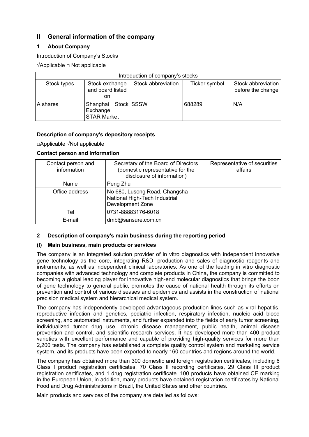# **II General information of the company**

# **1 About Company**

Introduction of Company's Stocks

√Applicable □ Not applicable

| Introduction of company's stocks |                                                       |                    |               |                                         |  |  |  |  |
|----------------------------------|-------------------------------------------------------|--------------------|---------------|-----------------------------------------|--|--|--|--|
| Stock types                      | Stock exchange<br>and board listed<br>on              | Stock abbreviation | Ticker symbol | Stock abbreviation<br>before the change |  |  |  |  |
| A shares                         | Shanghai Stock SSSW<br>Exchange<br><b>STAR Market</b> |                    | 688289        | N/A                                     |  |  |  |  |

# **Description of company's depository receipts**

□Applicable √Not applicable

# **Contact person and information**

| Contact person and<br>information | Secretary of the Board of Directors<br>(domestic representative for the<br>disclosure of information) | Representative of securities<br>affairs |
|-----------------------------------|-------------------------------------------------------------------------------------------------------|-----------------------------------------|
| <b>Name</b>                       | Peng Zhu                                                                                              |                                         |
| Office address                    | No 680, Lusong Road, Changsha<br>National High-Tech Industrial<br><b>Development Zone</b>             |                                         |
| Tel                               | 0731-88883176-6018                                                                                    |                                         |
| E-mail                            | dmb@sansure.com.cn                                                                                    |                                         |

## **2 Description of company's main business during the reporting period**

## **(I) Main business, main products or services**

The company is an integrated solution provider of in vitro diagnostics with independent innovative gene technology as the core, integrating R&D, production and sales of diagnostic reagents and instruments, as well as independent clinical laboratories. As one of the leading in vitro diagnostic companies with advanced technology and complete products in China, the company is committed to becoming a global leading player for innovative high-end molecular diagnostics that brings the boon of gene technology to general public, promotes the cause of national health through its efforts on prevention and control of various diseases and epidemics and assists in the construction of national precision medical system and hierarchical medical system.

The company has independently developed advantageous production lines such as viral hepatitis, reproductive infection and genetics, pediatric infection, respiratory infection, nucleic acid blood screening, and automated instruments, and further expanded into the fields of early tumor screening, individualized tumor drug use, chronic disease management, public health, animal disease prevention and control, and scientific research services. It has developed more than 400 product varieties with excellent performance and capable of providing high-quality services for more than 2,200 tests. The company has established a complete quality control system and marketing service system, and its products have been exported to nearly 160 countries and regions around the world.

The company has obtained more than 300 domestic and foreign registration certificates, including 6 Class I product registration certificates, 70 Class II recording certificates, 29 Class III product registration certificates, and 1 drug registration certificate. 100 products have obtained CE marking in the European Union, in addition, many products have obtained registration certificates by National Food and Drug Administrations in Brazil, the United States and other countries.

Main products and services of the company are detailed as follows: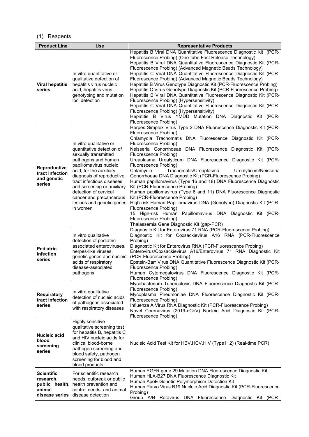# (1) Reagents

| <b>Product Line</b>                                                          | <b>Use</b>                                                                                                                                                                                                                                                                                                                                    | <b>Representative Products</b>                                                                                                                                                                                                                                                                                                                                                                                                                                                                                                                                                                                                                                                                                                                                                                                                                                                                                                                   |
|------------------------------------------------------------------------------|-----------------------------------------------------------------------------------------------------------------------------------------------------------------------------------------------------------------------------------------------------------------------------------------------------------------------------------------------|--------------------------------------------------------------------------------------------------------------------------------------------------------------------------------------------------------------------------------------------------------------------------------------------------------------------------------------------------------------------------------------------------------------------------------------------------------------------------------------------------------------------------------------------------------------------------------------------------------------------------------------------------------------------------------------------------------------------------------------------------------------------------------------------------------------------------------------------------------------------------------------------------------------------------------------------------|
| <b>Viral hepatitis</b><br>series                                             | In vitro quantitative or<br>qualitative detection of<br>hepatitis virus nucleic<br>acid, hepatitis virus<br>genotyping and mutation<br>loci detection                                                                                                                                                                                         | Hepatitis B Viral DNA Quantitative Fluorescence Diagnostic Kit (PCR-<br>Fluorescence Probing) (One-tube Fast Release Technology)<br>Hepatitis B Viral DNA Quantitative Fluorescence Diagnostic Kit (PCR-<br>Fluorescence Probing) (Advanced Magnetic Beads Technology)<br>Hepatitis C Viral DNA Quantitative Fluorescence Diagnostic Kit (PCR-<br>Fluorescence Probing) (Advanced Magnetic Beads Technology)<br>Hepatitis B Virus Genotype Diagnostic Kit (PCR-Fluorescence Probing)<br>Hepatitis C Virus Genotype Diagnostic Kit (PCR-Fluorescence Probing)<br>Hepatitis B Viral DNA Quantitative Fluorescence Diagnostic Kit (PCR-<br>Fluorescence Probing) (Hypersensitivity)<br>Hepatitis C Viral DNA Quantitative Fluorescence Diagnostic Kit (PCR-<br>Fluorescence Probing) (Hypersensitivity)<br>Hepatitis B Virus YMDD Mutation DNA Diagnostic Kit (PCR-<br>Fluorescence Probing)                                                        |
| <b>Reproductive</b><br>tract infection<br>and genetic<br>series              | In vitro qualitative or<br>quantitative detection of<br>sexually transmitted<br>pathogens and human<br>papillomavirus nucleic<br>acid, for the auxiliary<br>diagnosis of reproductive<br>tract infectious diseases<br>and screening or auxiliary<br>detection of cervical<br>cancer and precancerous<br>lesions and genetic genes<br>in women | Herpes Simplex Virus Type 2 DNA Fluorescence Diagnostic Kit (PCR-<br>Fluorescence Probing)<br>Chlamydia Trachomatis DNA Fluorescence Diagnostic Kit (PCR-<br>Fluorescence Probing)<br>Neisseria Gonorrhoeae DNA Fluorescence Diagnostic Kit (PCR-<br>Fluorescence Probing)<br>Ureaplasma Urealyticum DNA Fluorescence Diagnostic Kit (PCR-<br>Fluorescence Probing)<br>Chlamydia<br>Trachomatis/Ureaplasma<br>Urealyticum/Neisseria<br>Gonorrhoeae DNA Diagnostic Kit (PCR-Fluorescence Probing)<br>Human papillomavirus (Type 16 and 18) DNA Fluorescence Diagnostic<br>Kit (PCR-Fluorescence Probing)<br>Human papillomavirus (Type 6 and 11) DNA Fluorescence Diagnostic<br>Kit (PCR-Fluorescence Probing)<br>High-risk Human Papillomavirus DNA (Genotype) Diagnostic Kit (PCR-<br>Fluorescence Probing)<br>15 High-risk Human Papillomavirus DNA Diagnostic Kit (PCR-<br>Fluorescence Probing)<br>Thalassemia Gene Diagnostic Kit (gap-PCR) |
| <b>Pediatric</b><br>infection<br>series                                      | In vitro qualitative<br>detection of pediatric-<br>associated enteroviruses,<br>herpes-like viruses,<br>genetic genes and nucleic<br>acids of respiratory<br>disease-associated<br>pathogens                                                                                                                                                  | Diagnostic Kit for Enterovirus 71 RNA (PCR-Fluorescence Probing)<br>Diagnostic Kit for Coxsackievirus A16 RNA (PCR-Fluorescence<br>Probing)<br>Diagnostic Kit for Enterovirus RNA (PCR-Fluorescence Probing)<br>Enterovirus/Coxsackievirus A16/Enterovirus 71 RNA Diagnostic Kit<br>(PCR-Fluorescence Probing)<br>Epstein-Barr Virus DNA Quantitative Fluorescence Diagnostic Kit (PCR-<br>Fluorescence Probing)<br>Human Cytomegalovirus DNA Fluorescence Diagnostic Kit (PCR-<br>Fluorescence Probing)                                                                                                                                                                                                                                                                                                                                                                                                                                         |
| <b>Respiratory</b><br>tract infection<br>series                              | In vitro qualitative<br>detection of nucleic acids<br>of pathogens associated<br>with respiratory diseases                                                                                                                                                                                                                                    | Mycobacterium Tuberculosis DNA Fluorescence Diagnostic Kit (PCR-<br>Fluorescence Probing)<br>Mycoplasma Pneumoniae DNA Fluorescence Diagnostic Kit (PCR-<br>Fluorescence Probing)<br>Influenza A Virus RNA Diagnostic Kit (PCR-Fluorescence Probing)<br>Novel Coronavirus (2019-nCoV) Nucleic Acid Diagnostic Kit (PCR-<br>Fluorescence Probing)                                                                                                                                                                                                                                                                                                                                                                                                                                                                                                                                                                                                 |
| <b>Nucleic acid</b><br>blood<br>screening<br>series                          | Highly sensitive<br>qualitative screening test<br>for hepatitis B, hepatitis C<br>and HIV nucleic acids for<br>clinical blood-borne<br>pathogen screening and<br>blood safety, pathogen<br>screening for blood and<br>blood products                                                                                                          | Nucleic Acid Test Kit for HBV, HCV, HIV (Type1+2) (Real-time PCR)                                                                                                                                                                                                                                                                                                                                                                                                                                                                                                                                                                                                                                                                                                                                                                                                                                                                                |
| <b>Scientific</b><br>research,<br>public health,<br>animal<br>disease series | For scientific research<br>needs, outbreak or public<br>health prevention and<br>control needs, and animal<br>disease detection                                                                                                                                                                                                               | Human EGFR gene 29 Mutation DNA Fluorescence Diagnostic Kit<br>Human HLA-B27 DNA Fluorescence Diagnostic Kit<br>Human ApoE Genetic Polymorphism Detection Kit<br>Human Parvo Virus B19 Nucleic Acid Diagnostic Kit (PCR-Fluorescence<br>Probing)<br>Group A/B Rotavirus DNA Fluorescence<br>Diagnostic Kit (PCR-                                                                                                                                                                                                                                                                                                                                                                                                                                                                                                                                                                                                                                 |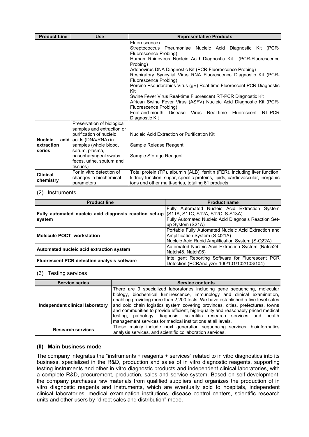| <b>Product Line</b>                    | Use                                                                                                                                                                                                                       | <b>Representative Products</b>                                                                                                                                                                                                                                                                                                                                                                                                                                                                                                                                                                                                                                                   |
|----------------------------------------|---------------------------------------------------------------------------------------------------------------------------------------------------------------------------------------------------------------------------|----------------------------------------------------------------------------------------------------------------------------------------------------------------------------------------------------------------------------------------------------------------------------------------------------------------------------------------------------------------------------------------------------------------------------------------------------------------------------------------------------------------------------------------------------------------------------------------------------------------------------------------------------------------------------------|
|                                        |                                                                                                                                                                                                                           | Fluorescence)<br>Streptococcus Pneumoniae Nucleic Acid Diagnostic Kit (PCR-<br>Fluorescence Probing)<br>Human Rhinovirus Nucleic Acid Diagnostic Kit (PCR-Fluorescence<br>Probing)<br>Adenovirus DNA Diagnostic Kit (PCR-Fluorescence Probing)<br>Respiratory Syncytial Virus RNA Fluorescence Diagnostic Kit (PCR-<br>Fluorescence Probing)<br>Porcine Pseudorabies Virus (gE) Real-time Fluorescent PCR Diagnostic<br>Kit<br>Swine Fever Virus Real-time Fluorescent RT-PCR Diagnostic Kit<br>African Swine Fever Virus (ASFV) Nucleic Acid Diagnostic Kit (PCR-<br>Fluorescence Probing)<br>Foot-and-mouth Disease Virus Real-time<br>RT-PCR<br>Fluorescent<br>Diagnostic Kit |
| <b>Nucleic</b><br>extraction<br>series | Preservation of biological<br>samples and extraction or<br>purification of nucleic<br>acid acids (DNA/RNA) in<br>samples (whole blood,<br>serum, plasma,<br>nasopharyngeal swabs,<br>feces, urine, sputum and<br>tissues) | Nucleic Acid Extraction or Purification Kit<br>Sample Release Reagent<br>Sample Storage Reagent                                                                                                                                                                                                                                                                                                                                                                                                                                                                                                                                                                                  |
| <b>Clinical</b><br>chemistry           | For in vitro detection of<br>changes in biochemical<br>parameters                                                                                                                                                         | Total protein (TP), albumin (ALB), ferritin (FER), including liver function,<br>kidney function, sugar, specific proteins, lipids, cardiovascular, inorganic<br>ions and other multi-series, totaling 61 products                                                                                                                                                                                                                                                                                                                                                                                                                                                                |

#### (2) Instruments

| <b>Product line</b>                                                                               | <b>Product name</b>                                                                                                                       |  |  |  |
|---------------------------------------------------------------------------------------------------|-------------------------------------------------------------------------------------------------------------------------------------------|--|--|--|
| Fully automated nucleic acid diagnosis reaction set-up (S11A, S11C, S12A, S12C, S-S13A)<br>system | Fully Automated Nucleic Acid Extraction System<br>Fully Automated Nucleic Acid Diagnosis Reaction Set-<br>up System (S21A)                |  |  |  |
| <b>Molecule POCT workstation</b>                                                                  | Portable Fully Automated Nucleic Acid Extraction and<br>Amplification System (S-Q21A)<br>Nucleic Acid Rapid Amplification System (S-Q22A) |  |  |  |
| Automated nucleic acid extraction system                                                          | Automated Nucleic Acid Extraction System (Natch24,<br>Natch48, Natch96)                                                                   |  |  |  |
| <b>Fluorescent PCR detection analysis software</b>                                                | Intelligent Reporting Software for Fluorescent PCR<br>Detection (PCRAnalyzer-100/101/102/103/104)                                         |  |  |  |

#### (3) Testing services

| <b>Service series</b>           | <b>Service contents</b>                                                                                                                                                                                                                                                                                                                                                                                                                                                                                                                                |
|---------------------------------|--------------------------------------------------------------------------------------------------------------------------------------------------------------------------------------------------------------------------------------------------------------------------------------------------------------------------------------------------------------------------------------------------------------------------------------------------------------------------------------------------------------------------------------------------------|
| Independent clinical laboratory | There are 9 specialized laboratories including gene sequencing, molecular<br>biology, biochemical luminescence, immunology and clinical examination,<br>enabling providing more than 2,200 tests. We have established a five-level sales<br>and cold chain logistics system covering provinces, cities, prefectures, towns<br>and communities to provide efficient, high-quality and reasonably priced medical<br>testing, pathology diagnosis, scientific research services and health<br>management services for medical institutions at all levels. |
| <b>Research services</b>        | These mainly include next generation sequencing services, bioinformatics<br>analysis services, and scientific collaboration services.                                                                                                                                                                                                                                                                                                                                                                                                                  |

#### **(II) Main business mode**

The company integrates the "instruments + reagents + services" related to in vitro diagnostics into its business, specialized in the R&D, production and sales of in vitro diagnostic reagents, supporting testing instruments and other in vitro diagnostic products and independent clinical laboratories, with a complete R&D, procurement, production, sales and service system. Based on self-development, the company purchases raw materials from qualified suppliers and organizes the production of in vitro diagnostic reagents and instruments, which are eventually sold to hospitals, independent clinical laboratories, medical examination institutions, disease control centers, scientific research units and other users by "direct sales and distribution" mode.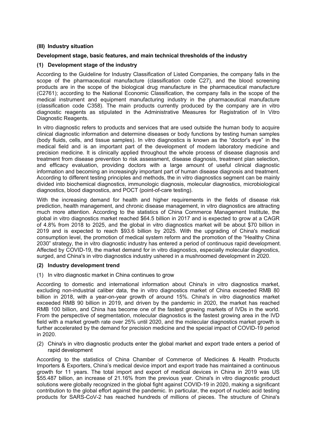#### **(III) Industry situation**

## **Development stage, basic features, and main technical thresholds of the industry**

## **(1) Development stage of the industry**

According to the Guideline for Industry Classification of Listed Companies, the company falls in the scope of the pharmaceutical manufacture (classification code C27), and the blood screening products are in the scope of the biological drug manufacture in the pharmaceutical manufacture (C2761); according to the National Economic Classification, the company falls in the scope of the medical instrument and equipment manufacturing industry in the pharmaceutical manufacture (classification code C358). The main products currently produced by the company are in vitro diagnostic reagents as stipulated in the Administrative Measures for Registration of In Vitro Diagnostic Reagents.

In vitro diagnostic refers to products and services that are used outside the human body to acquire clinical diagnostic information and determine diseases or body functions by testing human samples (body fluids, cells, and tissue samples). In vitro diagnostics is known as the "doctor's eye" in the medical field and is an important part of the development of modern laboratory medicine and precision medicine. It is clinically applied throughout the whole process of disease diagnosis and treatment from disease prevention to risk assessment, disease diagnosis, treatment plan selection, and efficacy evaluation, providing doctors with a large amount of useful clinical diagnostic information and becoming an increasingly important part of human disease diagnosis and treatment. According to different testing principles and methods, the in vitro diagnostics segment can be mainly divided into biochemical diagnostics, immunologic diagnosis, molecular diagnostics, microbiological diagnostics, blood diagnostics, and POCT (point-of-care testing).

With the increasing demand for health and higher requirements in the fields of disease risk prediction, health management, and chronic disease management, in vitro diagnostics are attracting much more attention. According to the statistics of China Commerce Management Institute, the global in vitro diagnostics market reached \$64.5 billion in 2017 and is expected to grow at a CAGR of 4.8% from 2018 to 2025, and the global in vitro diagnostics market will be about \$70 billion in 2019 and is expected to reach \$93.6 billion by 2025. With the upgrading of China's medical consumption level, the promotion of medical system reform and the promotion of the "Healthy China 2030" strategy, the in vitro diagnostic industry has entered a period of continuous rapid development. Affected by COVID-19, the market demand for in vitro diagnostics, especially molecular diagnostics, surged, and China's in vitro diagnostics industry ushered in a mushroomed development in 2020.

#### **(2) Industry development trend**

(1) In vitro diagnostic market in China continues to grow

According to domestic and international information about China's in vitro diagnostics market, excluding non-industrial caliber data, the in vitro diagnostics market of China exceeded RMB 80 billion in 2018, with a year-on-year growth of around 15%. China's in vitro diagnostics market exceeded RMB 90 billion in 2019, and driven by the pandemic in 2020, the market has reached RMB 100 billion, and China has become one of the fastest growing markets of IVDs in the world. From the perspective of segmentation, molecular diagnostics is the fastest growing area in the IVD field with a market growth rate over 25% until 2020, and the molecular diagnostics market growth is further accelerated by the demand for precision medicine and the special impact of COVID-19 period in 2020.

(2) China's in vitro diagnostic products enter the global market and export trade enters a period of rapid development

According to the statistics of China Chamber of Commerce of Medicines & Health Products Importers & Exporters, China's medical device import and export trade has maintained a continuous growth for 11 years. The total import and export of medical devices in China in 2019 was US \$55.487 billion, an increase of 21.16% from the previous year. China's in vitro diagnostic product solutions were globally recognized in the global fight against COVID-19 in 2020, making a significant contribution to the global effort against the pandemic. In particular, the export of nucleic acid testing products for SARS-CoV-2 has reached hundreds of millions of pieces. The structure of China's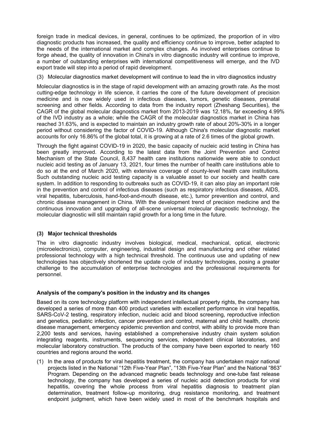foreign trade in medical devices, in general, continues to be optimized, the proportion of in vitro diagnostic products has increased, the quality and efficiency continue to improve, better adapted to the needs of the international market and complex changes. As involved enterprises continue to forge ahead, the quality of innovation in China's in vitro diagnostic industry will continue to improve, a number of outstanding enterprises with international competitiveness will emerge, and the IVD export trade will step into a period of rapid development.

(3) Molecular diagnostics market development will continue to lead the in vitro diagnostics industry

Molecular diagnostics is in the stage of rapid development with an amazing growth rate. As the most cutting-edge technology in life science, it carries the core of the future development of precision medicine and is now widely used in infectious diseases, tumors, genetic diseases, prenatal screening and other fields. According to data from the industry report (Zheshang Securities), the CAGR of the global molecular diagnostics market from 2013-2019 was 12.18%, far exceeding 4.99% of the IVD industry as a whole; while the CAGR of the molecular diagnostics market in China has reached 31.63%, and is expected to maintain an industry growth rate of about 20%-30% in a longer period without considering the factor of COVID-19. Although China's molecular diagnostic market accounts for only 16.86% of the global total, it is growing at a rate of 2.6 times of the global growth.

Through the fight against COVID-19 in 2020, the basic capacity of nucleic acid testing in China has been greatly improved. According to the latest data from the Joint Prevention and Control Mechanism of the State Council, 8,437 health care institutions nationwide were able to conduct nucleic acid testing as of January 13, 2021, four times the number of health care institutions able to do so at the end of March 2020, with extensive coverage of county-level health care institutions. Such outstanding nucleic acid testing capacity is a valuable asset to our society and health care system. In addition to responding to outbreaks such as COVID-19, it can also play an important role in the prevention and control of infectious diseases (such as respiratory infectious diseases, AIDS, viral hepatitis, tuberculosis, hand-foot-and-mouth disease, etc.), tumor prevention and control, and chronic disease management in China. With the development trend of precision medicine and the continuous innovation and upgrading of all-scene universal molecular diagnostic technology, the molecular diagnostic will still maintain rapid growth for a long time in the future.

#### **(3) Major technical thresholds**

The in vitro diagnostic industry involves biological, medical, mechanical, optical, electronic (microelectronics), computer, engineering, industrial design and manufacturing and other related professional technology with a high technical threshold. The continuous use and updating of new technologies has objectively shortened the update cycle of industry technologies, posing a greater challenge to the accumulation of enterprise technologies and the professional requirements for personnel.

#### **Analysis of the company's position in the industry and its changes**

Based on its core technology platform with independent intellectual property rights, the company has developed a series of more than 400 product varieties with excellent performance in viral hepatitis, SARS-CoV-2 testing, respiratory infection, nucleic acid and blood screening, reproductive infection and genetics, pediatric infection, cancer prevention and control, maternal and child health, chronic disease management, emergency epidemic prevention and control, with ability to provide more than 2,200 tests and services, having established a comprehensive industry chain system solution integrating reagents, instruments, sequencing services, independent clinical laboratories, and molecular laboratory construction. The products of the company have been exported to nearly 160 countries and regions around the world.

(1) In the area of products for viral hepatitis treatment, the company has undertaken major national projects listed in the National "12th Five-Year Plan", "13th Five-Year Plan" and the National "863" Program. Depending on the advanced magnetic beads technology and one-tube fast release technology, the company has developed a series of nucleic acid detection products for viral hepatitis, covering the whole process from viral hepatitis diagnosis to treatment plan determination, treatment follow-up monitoring, drug resistance monitoring, and treatment endpoint judgment, which have been widely used in most of the benchmark hospitals and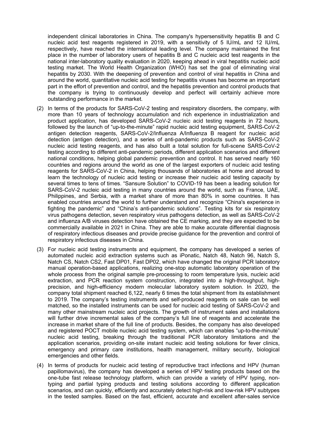independent clinical laboratories in China. The company's hypersensitivity hepatitis B and C nucleic acid test reagents registered in 2019, with a sensitivity of 5 IU/mL and 12 IU/mL respectively, have reached the international leading level. The company maintained the first place in the number of laboratory users of hepatitis B and C nucleic acid test reagents in the national inter-laboratory quality evaluation in 2020, keeping ahead in viral hepatitis nucleic acid testing market. The World Health Organization (WHO) has set the goal of eliminating viral hepatitis by 2030. With the deepening of prevention and control of viral hepatitis in China and around the world, quantitative nucleic acid testing for hepatitis viruses has become an important part in the effort of prevention and control, and the hepatitis prevention and control products that the company is trying to continuously develop and perfect will certainly achieve more outstanding performance in the market.

- (2) In terms of the products for SARS-CoV-2 testing and respiratory disorders, the company, with more than 10 years of technology accumulation and rich experience in industrialization and product application, has developed SARS-CoV-2 nucleic acid testing reagents in 72 hours, followed by the launch of "up-to-the-minute" rapid nucleic acid testing equipment, SARS-CoV-2 antigen detection reagents, SARS-CoV-2/Influenza A/Influenza B reagent for nucleic acid detection (antigen detection), and a series of anti-pandemic products such as SARS-CoV-2 nucleic acid testing reagents, and has also built a total solution for full-scene SARS-CoV-2 testing according to different anti-pandemic periods, different application scenarios and different national conditions, helping global pandemic prevention and control. It has served nearly 160 countries and regions around the world as one of the largest exporters of nucleic acid testing reagents for SARS-CoV-2 in China, helping thousands of laboratories at home and abroad to learn the technology of nucleic acid testing or increase their nucleic acid testing capacity by several times to tens of times. "Sansure Solution" to COVID-19 has been a leading solution for SARS-CoV-2 nucleic acid testing in many countries around the world, such as France, UAE, Philippines, and Serbia, with a market share of more than 80% in some countries. It has enabled countries around the world to further understand and recognize "China's experience in fighting the pandemic" and "China's anti-pandemic solutions". Testing kits for six respiratory virus pathogens detection, seven respiratory virus pathogens detection, as well as SARS-CoV-2 and influenza A/B viruses detection have obtained the CE marking, and they are expected to be commercially available in 2021 in China. They are able to make accurate differential diagnosis of respiratory infectious diseases and provide precise guidance for the prevention and control of respiratory infectious diseases in China.
- (3) For nucleic acid testing instruments and equipment, the company has developed a series of automated nucleic acid extraction systems such as iPonatic, Natch 48, Natch 96, Natch S, Natch CS, Natch CS2, Fast DP01, Fast DP02, which have changed the original PCR laboratory manual operation-based applications, realizing one-stop automatic laboratory operation of the whole process from the original sample pre-processing to room temperature lysis, nucleic acid extraction, and PCR reaction system construction, integrated into a high-throughput, highprecision, and high-efficiency modern molecular laboratory system solution. In 2020, the company total shipment reached 6,122, nearly 6 times the total shipment from its establishment to 2019. The company's testing instruments and self-produced reagents on sale can be well matched, so the installed instruments can be used for nucleic acid testing of SARS-CoV-2 and many other mainstream nucleic acid projects. The growth of instrument sales and installations will further drive incremental sales of the company's full line of reagents and accelerate the increase in market share of the full line of products. Besides, the company has also developed and registered POCT mobile nucleic acid testing system, which can enables "up-to-the-minute" nucleic acid testing, breaking through the traditional PCR laboratory limitations and the application scenarios, providing on-site instant nucleic acid testing solutions for fever clinics, emergency and primary care institutions, health management, military security, biological emergencies and other fields.
- (4) In terms of products for nucleic acid testing of reproductive tract infections and HPV (human papillomavirus), the company has developed a series of HPV testing products based on the one-tube fast release technology platform, which can provide a variety of HPV typing, nontyping and partial typing products and testing solutions according to different application scenarios, and can quickly, efficiently and accurately detect high-risk and low-risk HPV subtypes in the tested samples. Based on the fast, efficient, accurate and excellent after-sales service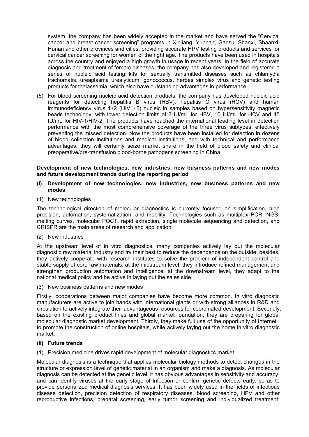system, the company has been widely accepted in the market and have served the "Cervical cancer and breast cancer screening" programs in Xinjiang, Yunnan, Gansu, Shanxi, Shaanxi, Hunan and other provinces and cities, providing accurate HPV testing products and services for cervical cancer screening for women of the right age. The products have been used in hospitals across the country and enjoyed a high growth in usage in recent years. In the field of accurate diagnosis and treatment of female diseases, the company has also developed and registered a series of nucleic acid testing kits for sexually transmitted diseases such as chlamydia trachomatis, ureaplasma urealyticum, gonococcus, herpes simplex virus and genetic testing products for thalassemia, which also have outstanding advantages in performance.

(5) For blood screening nucleic acid detection products, the company has developed nucleic acid reagents for detecting hepatitis B virus (HBV), hepatitis C virus (HCV) and human immunodeficiency virus 1+2 (HIV1+2) nucleic in samples based on hypersensitivity magnetic beads technology, with lower detection limits of 3 IU/mL for HBV, 10 IU/mL for HCV and 45 IU/mL for HIV-1/HIV-2. The products have reached the international leading level in detection performance with the most comprehensive coverage of the three virus subtypes, effectively preventing the missed detection. Now the products have been installed for detection in dozens of blood collection institutions and medical institutions, and with technical and performance advantages, they will certainly seize market share in the field of blood safety and clinical preoperative/pre-transfusion blood-borne pathogens screening in China.

#### **Development of new technologies, new industries, new business patterns and new modes and future development trends during the reporting period**

#### **(I) Development of new technologies, new industries, new business patterns and new modes**

(1) New technologies

The technological direction of molecular diagnostics is currently focused on simplification, high precision, automation, systematization, and mobility. Technologies such as multiplex PCR, NGS, melting curves, molecular POCT, rapid extraction, single molecule sequencing and detection, and CRISPR are the main areas of research and application.

(2) New industries

At the upstream level of in vitro diagnostics, many companies actively lay out the molecular diagnostic raw material industry and try their best to reduce the dependence on the outside; besides, they actively cooperate with research institutes to solve the problem of independent control and stable supply of core raw materials; at the midstream level, they introduce refined management and strengthen production automation and intelligence; at the downstream level, they adapt to the national medical policy and be active in laying out the sales side.

(3) New business patterns and new modes

Firstly, cooperations between major companies have become more common. In vitro diagnostic manufacturers are active to join hands with international giants or with strong alliances in R&D and circulation to actively integrate their advantageous resources for coordinated development. Secondly, based on the existing product lines and global market foundation, they are preparing for global molecular diagnostic market development. Thirdly, they make full use of the opportunity of Internet+ to promote the construction of online hospitals, while actively laying out the home in vitro diagnostic market.

#### **(II) Future trends**

(1) Precision medicine drives rapid development of molecular diagnostics market

Molecular diagnosis is a technique that applies molecular biology methods to detect changes in the structure or expression level of genetic material in an organism and make a diagnosis. As molecular diagnosis can be detected at the genetic level, it has obvious advantages in sensitivity and accuracy, and can identify viruses at the early stage of infection or confirm genetic defects early, so as to provide personalized medical diagnosis services. It has been widely used in the fields of infectious disease detection, precision detection of respiratory diseases, blood screening, HPV and other reproductive infections, prenatal screening, early tumor screening and individualized treatment,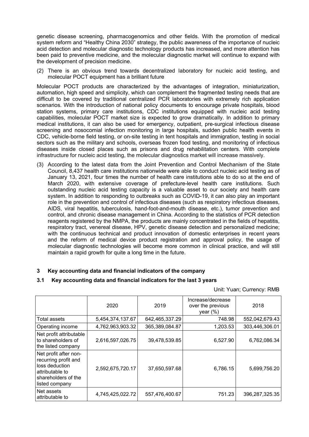genetic disease screening, pharmacogenomics and other fields. With the promotion of medical system reform and "Healthy China 2030" strategy, the public awareness of the importance of nucleic acid detection and molecular diagnostic technology products has increased, and more attention has been paid to preventive medicine, and the molecular diagnostic market will continue to expand with the development of precision medicine.

(2) There is an obvious trend towards decentralized laboratory for nucleic acid testing, and molecular POCT equipment has a brilliant future

Molecular POCT products are characterized by the advantages of integration, miniaturization, automation, high speed and simplicity, which can complement the fragmented testing needs that are difficult to be covered by traditional centralized PCR laboratories with extremely rich application scenarios. With the introduction of national policy documents to encourage private hospitals, blood station systems, primary care institutions, CDC institutions equipped with nucleic acid testing capabilities, molecular POCT market size is expected to grow dramatically. In addition to primary medical institutions, it can also be used for emergency, outpatient, pre-surgical infectious disease screening and nosocomial infection monitoring in large hospitals, sudden public health events in CDC, vehicle-borne field testing, or on-site testing in tent hospitals and immigration, testing in social sectors such as the military and schools, overseas frozen food testing, and monitoring of infectious diseases inside closed places such as prisons and drug rehabilitation centers. With complete infrastructure for nucleic acid testing, the molecular diagnostics market will increase massively.

(3) According to the latest data from the Joint Prevention and Control Mechanism of the State Council, 8,437 health care institutions nationwide were able to conduct nucleic acid testing as of January 13, 2021, four times the number of health care institutions able to do so at the end of March 2020, with extensive coverage of prefecture-level health care institutions. Such outstanding nucleic acid testing capacity is a valuable asset to our society and health care system. In addition to responding to outbreaks such as COVID-19, it can also play an important role in the prevention and control of infectious diseases (such as respiratory infectious diseases, AIDS, viral hepatitis, tuberculosis, hand-foot-and-mouth disease, etc.), tumor prevention and control, and chronic disease management in China. According to the statistics of PCR detection reagents registered by the NMPA, the products are mainly concentrated in the fields of hepatitis, respiratory tract, venereal disease, HPV, genetic disease detection and personalized medicine; with the continuous technical and product innovation of domestic enterprises in recent years and the reform of medical device product registration and approval policy, the usage of molecular diagnostic technologies will become more common in clinical practice, and will still maintain a rapid growth for quite a long time in the future.

#### **3 Key accounting data and financial indicators of the company**

#### **3.1 Key accounting data and financial indicators for the last 3 years**

Unit: Yuan; Currency: RMB

|                                                                                                                             | 2020             | 2019           | Increase/decrease<br>over the previous<br>year $(\%)$ | 2018           |
|-----------------------------------------------------------------------------------------------------------------------------|------------------|----------------|-------------------------------------------------------|----------------|
| Total assets                                                                                                                | 5,454,374,137.67 | 642,465,337.29 | 748.98                                                | 552,042,679.43 |
| Operating income                                                                                                            | 4,762,963,903.32 | 365,389,084.87 | 1,203.53                                              | 303,446,306.01 |
| Net profit attributable<br>to shareholders of<br>the listed company                                                         | 2,616,597,026.75 | 39,478,539.85  | 6,527.90                                              | 6,762,086.34   |
| Net profit after non-<br>recurring profit and<br>loss deduction<br>attributable to<br>shareholders of the<br>listed company | 2,592,675,720.17 | 37,650,597.68  | 6,786.15                                              | 5,699,756.20   |
| Net assets<br>attributable to                                                                                               | 4,745,425,022.72 | 557,476,400.67 | 751.23                                                | 396,287,325.35 |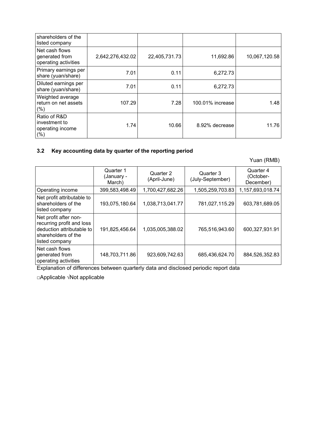| shareholders of the<br>listed company                       |                  |               |                  |               |
|-------------------------------------------------------------|------------------|---------------|------------------|---------------|
| Net cash flows<br>generated from<br>operating activities    | 2,642,276,432.02 | 22,405,731.73 | 11,692.86        | 10,067,120.58 |
| Primary earnings per<br>share (yuan/share)                  | 7.01             | 0.11          | 6,272.73         |               |
| Diluted earnings per<br>share (yuan/share)                  | 7.01             | 0.11          | 6,272.73         |               |
| Weighted average<br>return on net assets<br>(%)             | 107.29           | 7.28          | 100.01% increase | 1.48          |
| Ratio of R&D<br>investment to<br>operating income<br>$(\%)$ | 1.74             | 10.66         | 8.92% decrease   | 11.76         |

# **3.2 Key accounting data by quarter of the reporting period**

Yuan (RMB)

|                                                                                                                          | Quarter 1<br>(January -<br>March) | Quarter 2<br>(April-June) | Quarter 3<br>(July-September) | Quarter 4<br>(October-<br>December) |
|--------------------------------------------------------------------------------------------------------------------------|-----------------------------------|---------------------------|-------------------------------|-------------------------------------|
| Operating income                                                                                                         | 399,583,498.49                    | 1,700,427,682.26          | 1,505,259,703.83              | 1,157,693,018.74                    |
| Net profit attributable to<br>shareholders of the<br>listed company                                                      | 193,075,180.64                    | 1,038,713,041.77          | 781,027,115.29                | 603,781,689.05                      |
| Net profit after non-<br>recurring profit and loss<br>deduction attributable to<br>shareholders of the<br>listed company | 191,825,456.64                    | 1,035,005,388.02          | 765,516,943.60                | 600,327,931.91                      |
| Net cash flows<br>generated from<br>operating activities                                                                 | 148,703,711.86                    | 923,609,742.63            | 685,436,624.70                | 884,526,352.83                      |

Explanation of differences between quarterly data and disclosed periodic report data

□Applicable √Not applicable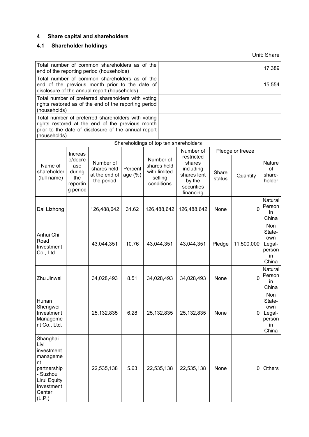# **4 Share capital and shareholders**

# **4.1 Shareholder holdings**

Unit: Share

| Total number of common shareholders as of the<br>end of the reporting period (households)                                                                                      |                                                         |                                                         |                    |                                                                   |              |                                                                                       |                 |                  | 17,389                                                  |
|--------------------------------------------------------------------------------------------------------------------------------------------------------------------------------|---------------------------------------------------------|---------------------------------------------------------|--------------------|-------------------------------------------------------------------|--------------|---------------------------------------------------------------------------------------|-----------------|------------------|---------------------------------------------------------|
| Total number of common shareholders as of the<br>end of the previous month prior to the date of<br>disclosure of the annual report (households)                                |                                                         |                                                         |                    |                                                                   |              |                                                                                       |                 |                  | 15,554                                                  |
| Total number of preferred shareholders with voting<br>rights restored as of the end of the reporting period<br>(households)                                                    |                                                         |                                                         |                    |                                                                   |              |                                                                                       |                 |                  |                                                         |
| Total number of preferred shareholders with voting<br>rights restored at the end of the previous month<br>prior to the date of disclosure of the annual report<br>(households) |                                                         |                                                         |                    |                                                                   |              |                                                                                       |                 |                  |                                                         |
|                                                                                                                                                                                |                                                         |                                                         |                    |                                                                   |              | Shareholdings of top ten shareholders                                                 |                 |                  |                                                         |
|                                                                                                                                                                                | <b>Increas</b>                                          |                                                         |                    |                                                                   |              | Number of                                                                             |                 | Pledge or freeze |                                                         |
| Name of<br>shareholder<br>(full name)                                                                                                                                          | e/decre<br>ase<br>during<br>the<br>reportin<br>g period | Number of<br>shares held<br>at the end of<br>the period | Percent<br>age (%) | Number of<br>shares held<br>with limited<br>selling<br>conditions |              | restricted<br>shares<br>including<br>shares lent<br>by the<br>securities<br>financing | Share<br>status | Quantity         | Nature<br>of<br>share-<br>holder                        |
| Dai Lizhong                                                                                                                                                                    |                                                         | 126,488,642                                             | 31.62              | 126,488,642                                                       |              | 126,488,642                                                                           | None            | 0                | Natural<br>Person<br>in<br>China                        |
| Anhui Chi<br>Road<br>Investment<br>Co., Ltd.                                                                                                                                   |                                                         | 43,044,351                                              | 10.76              |                                                                   | 43,044,351   | 43,044,351                                                                            | Pledge          | 11,500,000       | Non<br>State-<br>own<br>Legal-<br>person<br>in<br>China |
| Zhu Jinwei                                                                                                                                                                     |                                                         | 34,028,493                                              | 8.51               |                                                                   | 34,028,493   | 34,028,493                                                                            | None            | $\Omega$         | Natural<br>Person<br>in.<br>China                       |
| Hunan<br>Shengwei<br>Investment<br>Manageme<br>nt Co., Ltd.                                                                                                                    |                                                         | 25, 132, 835                                            | 6.28               |                                                                   | 25, 132, 835 | 25,132,835                                                                            | None            | $\overline{0}$   | Non<br>State-<br>own<br>Legal-<br>person<br>in<br>China |
| Shanghai<br>Liyi<br>investment<br>manageme<br>nt<br>partnership<br>- Suzhou<br><b>Lirui Equity</b><br>Investment<br>Center<br>(L.P.)                                           |                                                         | 22,535,138                                              | 5.63               |                                                                   | 22,535,138   | 22,535,138                                                                            | None            | 0                | Others                                                  |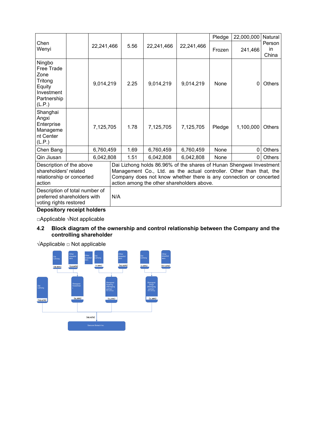|                                                                                                                                                                                                                                                                                                                                                                                                                                                              |  |           |            |      |            |            | Pledge | 22,000,000  | Natural               |
|--------------------------------------------------------------------------------------------------------------------------------------------------------------------------------------------------------------------------------------------------------------------------------------------------------------------------------------------------------------------------------------------------------------------------------------------------------------|--|-----------|------------|------|------------|------------|--------|-------------|-----------------------|
| Chen<br>Wenyi                                                                                                                                                                                                                                                                                                                                                                                                                                                |  |           | 22,241,466 | 5.56 | 22,241,466 | 22,241,466 | Frozen | 241,466     | Person<br>in<br>China |
| Ningbo<br><b>Free Trade</b><br>Zone<br>Tritong<br>Equity<br>Investment<br>Partnership<br>(L.P.)                                                                                                                                                                                                                                                                                                                                                              |  | 9,014,219 |            | 2.25 | 9,014,219  | 9,014,219  | None   | $\mathbf 0$ | <b>Others</b>         |
| Shanghai<br>Angxi<br>Enterprise<br>Manageme<br>nt Center<br>(L.P.)                                                                                                                                                                                                                                                                                                                                                                                           |  | 7,125,705 |            | 1.78 | 7,125,705  | 7,125,705  | Pledge | 1,100,000   | <b>Others</b>         |
| Chen Bang                                                                                                                                                                                                                                                                                                                                                                                                                                                    |  | 6,760,459 |            | 1.69 | 6,760,459  | 6,760,459  | None   | 0           | <b>Others</b>         |
| Qin Jiusan                                                                                                                                                                                                                                                                                                                                                                                                                                                   |  | 6,042,808 |            | 1.51 | 6,042,808  | 6,042,808  | None   | 0           | <b>Others</b>         |
| Dai Lizhong holds 86.96% of the shares of Hunan Shengwei Investment<br>Description of the above<br>shareholders' related<br>Management Co., Ltd. as the actual controller. Other than that, the<br>Company does not know whether there is any connection or concerted<br>relationship or concerted<br>action among the other shareholders above.<br>action<br>Description of total number of<br>preferred shareholders with<br>N/A<br>voting rights restored |  |           |            |      |            |            |        |             |                       |

# **Depository receipt holders**

□Applicable √Not applicable

#### **4.2 Block diagram of the ownership and control relationship between the Company and the controlling shareholder**

√Applicable □ Not applicable

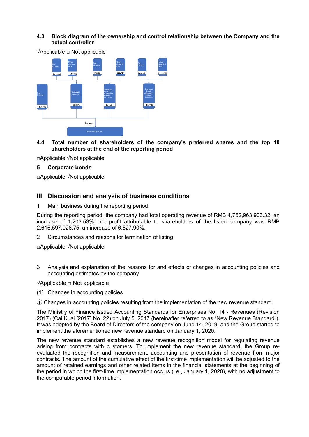## **4.3 Block diagram of the ownership and control relationship between the Company and the actual controller**



√Applicable □ Not applicable

#### **4.4 Total number of shareholders of the company's preferred shares and the top 10 shareholders at the end of the reporting period**

□Applicable √Not applicable

#### **5 Corporate bonds**

□Applicable √Not applicable

## **III Discussion and analysis of business conditions**

#### 1 Main business during the reporting period

During the reporting period, the company had total operating revenue of RMB 4,762,963,903.32, an increase of 1,203.53%; net profit attributable to shareholders of the listed company was RMB 2,616,597,026.75, an increase of 6,527.90%.

2 Circumstances and reasons for termination of listing

□Applicable √Not applicable

3 Analysis and explanation of the reasons for and effects of changes in accounting policies and accounting estimates by the company

√Applicable □ Not applicable

(1) Changes in accounting policies

① Changes in accounting policies resulting from the implementation of the new revenue standard

The Ministry of Finance issued Accounting Standards for Enterprises No. 14 - Revenues (Revision 2017) (Cai Kuai [2017] No. 22) on July 5, 2017 (hereinafter referred to as "New Revenue Standard"). It was adopted by the Board of Directors of the company on June 14, 2019, and the Group started to implement the aforementioned new revenue standard on January 1, 2020.

The new revenue standard establishes a new revenue recognition model for regulating revenue arising from contracts with customers. To implement the new revenue standard, the Group reevaluated the recognition and measurement, accounting and presentation of revenue from major contracts. The amount of the cumulative effect of the first-time implementation will be adjusted to the amount of retained earnings and other related items in the financial statements at the beginning of the period in which the first-time implementation occurs (i.e., January 1, 2020), with no adjustment to the comparable period information.